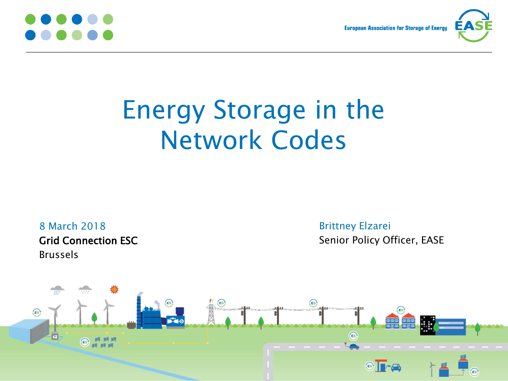

**European Association for Storage of Energy** 



# Energy Storage in the Network Codes

8 March 2018 Grid Connection ESC Brussels

Brittney Elzarei Senior Policy Officer, EASE

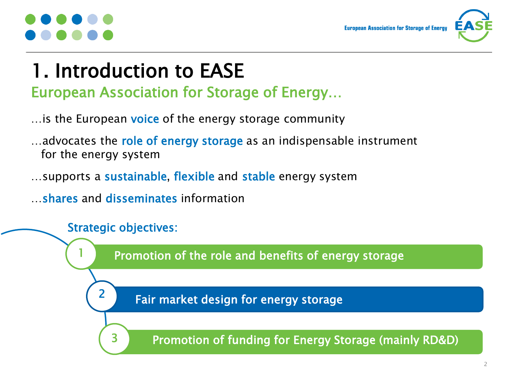**European Association for Storage of Enero** 



### 1. Introduction to EASE European Association for Storage of Energy…

- ... is the European voice of the energy storage community
- ...advocates the role of energy storage as an indispensable instrument for the energy system
- ... supports a **sustainable, flexible** and **stable** energy system

…shares and disseminates information

### Strategic objectives:

3

2

Promotion of the role and benefits of energy storage

Fair market design for energy storage

Promotion of funding for Energy Storage (mainly RD&D)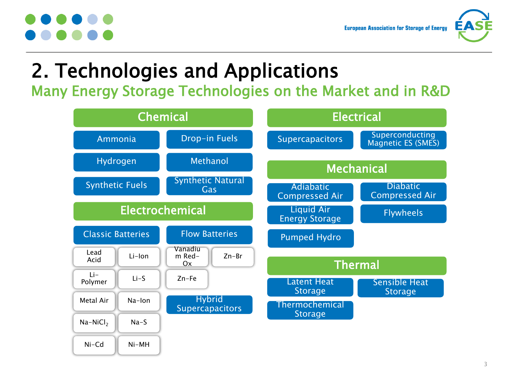

## 2. Technologies and Applications

Many Energy Storage Technologies on the Market and in R&D

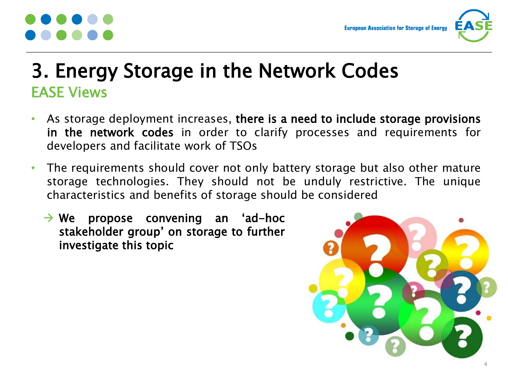

### 3. Energy Storage in the Network Codes EASE Views

- As storage deployment increases, there is a need to include storage provisions in the network codes in order to clarify processes and requirements for developers and facilitate work of TSOs
- The requirements should cover not only battery storage but also other mature storage technologies. They should not be unduly restrictive. The unique characteristics and benefits of storage should be considered
	- $\rightarrow$  We propose convening an 'ad-hoc stakeholder group' on storage to further investigate this topic

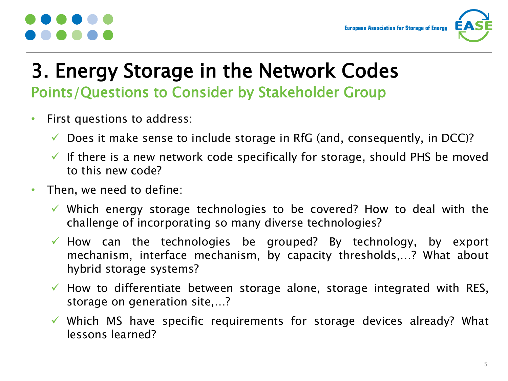

### 3. Energy Storage in the Network Codes Points/Questions to Consider by Stakeholder Group

- First questions to address:
	- $\checkmark$  Does it make sense to include storage in RfG (and, consequently, in DCC)?
	- $\checkmark$  If there is a new network code specifically for storage, should PHS be moved to this new code?
- Then, we need to define:
	- $\checkmark$  Which energy storage technologies to be covered? How to deal with the challenge of incorporating so many diverse technologies?
	- $\checkmark$  How can the technologies be grouped? By technology, by export mechanism, interface mechanism, by capacity thresholds,…? What about hybrid storage systems?
	- $\checkmark$  How to differentiate between storage alone, storage integrated with RES, storage on generation site,…?
	- $\checkmark$  Which MS have specific requirements for storage devices already? What lessons learned?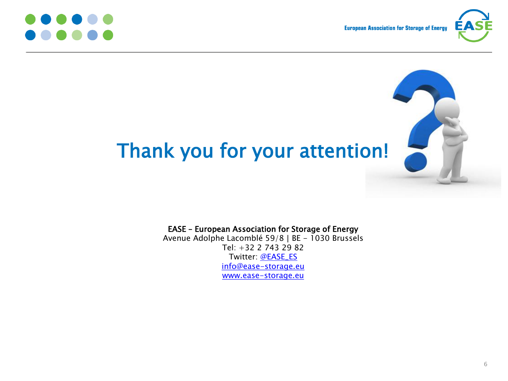



## Thank you for your attention!

### EASE – European Association for Storage of Energy Avenue Adolphe Lacomblé 59/8 | BE - 1030 Brussels Tel: +32 2 743 29 82 Twitter: [@EASE\\_ES](https://twitter.com/EASE_ES) [info@ease-storage.eu](mailto:info@ease-storage.eu) [www.ease-storage.eu](http://www.ease-storage.eu/)